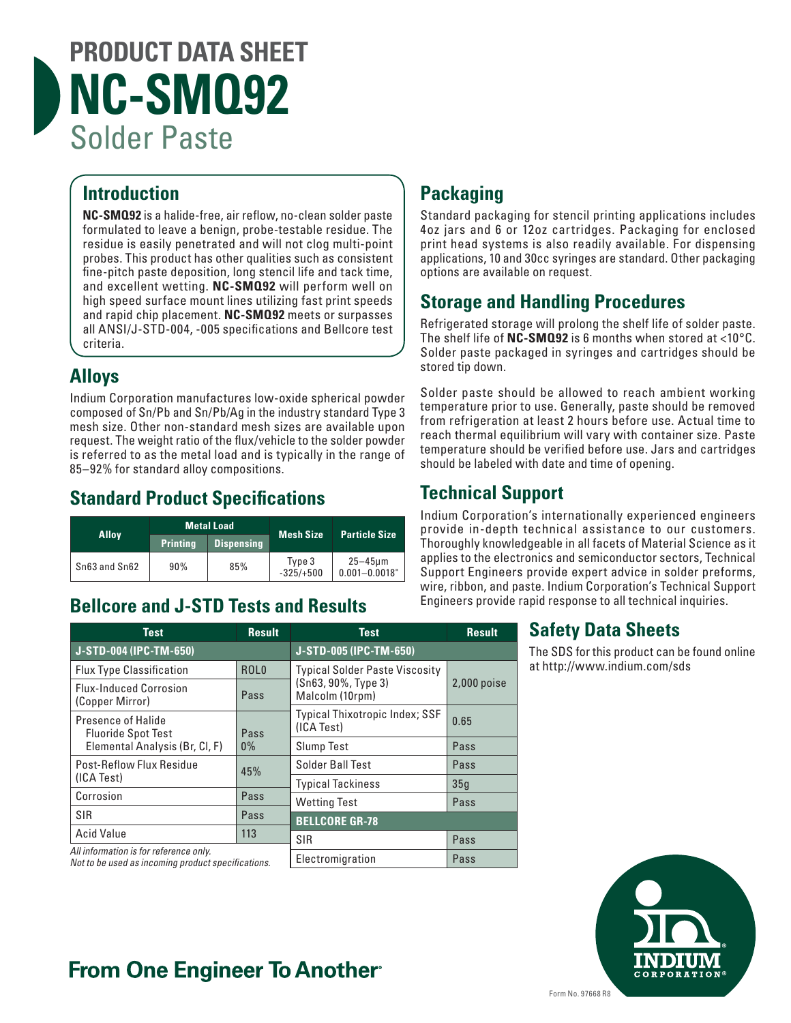# **PRODUCT DATA SHEET NC-SMQ92** Solder Paste

## **Introduction**

**NC-SMQ92** is a halide-free, air reflow, no-clean solder paste formulated to leave a benign, probe-testable residue. The residue is easily penetrated and will not clog multi-point probes. This product has other qualities such as consistent fine-pitch paste deposition, long stencil life and tack time, and excellent wetting. **NC-SMQ92** will perform well on high speed surface mount lines utilizing fast print speeds and rapid chip placement. **NC-SMQ92** meets or surpasses all ANSI/J-STD-004, -005 specifications and Bellcore test criteria.

### **Alloys**

Indium Corporation manufactures low-oxide spherical powder composed of Sn/Pb and Sn/Pb/Ag in the industry standard Type 3 mesh size. Other non-standard mesh sizes are available upon request. The weight ratio of the flux/vehicle to the solder powder is referred to as the metal load and is typically in the range of 85–92% for standard alloy compositions.

### **Standard Product Specifications**

| <b>Alloy</b>  | <b>Metal Load</b> |                   | <b>Mesh Size</b>      | <b>Particle Size</b>              |
|---------------|-------------------|-------------------|-----------------------|-----------------------------------|
|               | <b>Printing</b>   | <b>Dispensing</b> |                       |                                   |
| Sn63 and Sn62 | 90%               | 85%               | Type 3<br>$-325/+500$ | $25 - 45$ µm<br>$0.001 - 0.0018"$ |

# **Bellcore and J-STD Tests and Results**

# **Packaging**

Standard packaging for stencil printing applications includes 4oz jars and 6 or 12oz cartridges. Packaging for enclosed print head systems is also readily available. For dispensing applications, 10 and 30cc syringes are standard. Other packaging options are available on request.

### **Storage and Handling Procedures**

Refrigerated storage will prolong the shelf life of solder paste. The shelf life of **NC-SMQ92** is 6 months when stored at <10°C. Solder paste packaged in syringes and cartridges should be stored tip down.

Solder paste should be allowed to reach ambient working temperature prior to use. Generally, paste should be removed from refrigeration at least 2 hours before use. Actual time to reach thermal equilibrium will vary with container size. Paste temperature should be verified before use. Jars and cartridges should be labeled with date and time of opening.

# **Technical Support**

Indium Corporation's internationally experienced engineers provide in-depth technical assistance to our customers. Thoroughly knowledgeable in all facets of Material Science as it applies to the electronics and semiconductor sectors, Technical Support Engineers provide expert advice in solder preforms, wire, ribbon, and paste. Indium Corporation's Technical Support Engineers provide rapid response to all technical inquiries.

### **Safety Data Sheets**

The SDS for this product can be found online at http://www.indium.com/sds



# **From One Engineer To Another**

| Test                                                                                         | <b>Result</b>    | <b>Test</b>                                  | <b>Result</b> |  |
|----------------------------------------------------------------------------------------------|------------------|----------------------------------------------|---------------|--|
| J-STD-004 (IPC-TM-650)                                                                       |                  | J-STD-005 (IPC-TM-650)                       |               |  |
| <b>Flux Type Classification</b>                                                              | ROL <sub>0</sub> | <b>Typical Solder Paste Viscosity</b>        | $2,000$ poise |  |
| <b>Flux-Induced Corrosion</b><br>(Copper Mirror)                                             | Pass             | (Sn63, 90%, Type 3)<br>Malcolm (10rpm)       |               |  |
| Presence of Halide<br><b>Fluoride Spot Test</b>                                              | Pass             | Typical Thixotropic Index; SSF<br>(ICA Test) | 0.65          |  |
| Elemental Analysis (Br, Cl, F)                                                               | $0\%$            | <b>Slump Test</b>                            | Pass          |  |
| Post-Reflow Flux Residue                                                                     | 45%              | Solder Ball Test                             | Pass          |  |
| (ICA Test)                                                                                   |                  | <b>Typical Tackiness</b>                     | 35q           |  |
| Corrosion                                                                                    | Pass             | <b>Wetting Test</b>                          | Pass          |  |
| SIR                                                                                          | Pass             | <b>BELLCORE GR-78</b>                        |               |  |
| <b>Acid Value</b>                                                                            | 113              | SIR                                          | Pass          |  |
| All information is for reference only.<br>Not to be used as incoming product specifications. |                  | Electromigration                             | Pass          |  |
|                                                                                              |                  |                                              |               |  |